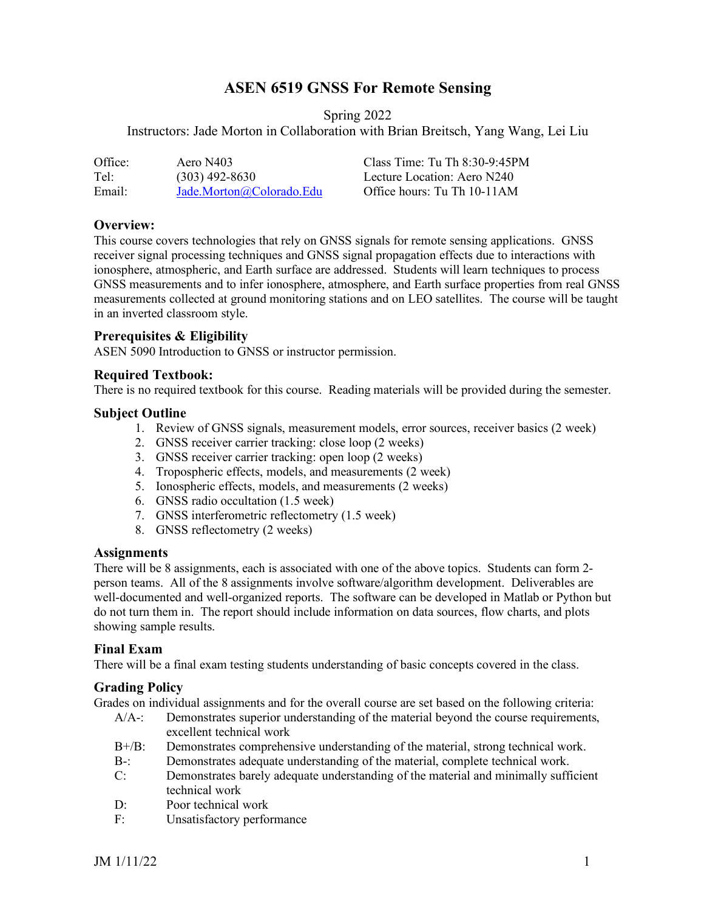# **ASEN 6519 GNSS For Remote Sensing**

Spring 2022

Instructors: Jade Morton in Collaboration with Brian Breitsch, Yang Wang, Lei Liu

| Office: | Aero N403                | Class Time: Tu Th $8:30-9:45$ PM |
|---------|--------------------------|----------------------------------|
| Tel:    | $(303)$ 492-8630         | Lecture Location: Aero N240      |
| Email:  | Jade.Morton@Colorado.Edu | Office hours: Tu Th 10-11AM      |

### **Overview:**

This course covers technologies that rely on GNSS signals for remote sensing applications. GNSS receiver signal processing techniques and GNSS signal propagation effects due to interactions with ionosphere, atmospheric, and Earth surface are addressed. Students will learn techniques to process GNSS measurements and to infer ionosphere, atmosphere, and Earth surface properties from real GNSS measurements collected at ground monitoring stations and on LEO satellites. The course will be taught in an inverted classroom style.

### **Prerequisites & Eligibility**

ASEN 5090 Introduction to GNSS or instructor permission.

#### **Required Textbook:**

There is no required textbook for this course. Reading materials will be provided during the semester.

#### **Subject Outline**

- 1. Review of GNSS signals, measurement models, error sources, receiver basics (2 week)
- 2. GNSS receiver carrier tracking: close loop (2 weeks)
- 3. GNSS receiver carrier tracking: open loop (2 weeks)
- 4. Tropospheric effects, models, and measurements (2 week)
- 5. Ionospheric effects, models, and measurements (2 weeks)
- 6. GNSS radio occultation (1.5 week)
- 7. GNSS interferometric reflectometry (1.5 week)
- 8. GNSS reflectometry (2 weeks)

#### **Assignments**

There will be 8 assignments, each is associated with one of the above topics. Students can form 2 person teams. All of the 8 assignments involve software/algorithm development. Deliverables are well-documented and well-organized reports. The software can be developed in Matlab or Python but do not turn them in. The report should include information on data sources, flow charts, and plots showing sample results.

### **Final Exam**

There will be a final exam testing students understanding of basic concepts covered in the class.

### **Grading Policy**

Grades on individual assignments and for the overall course are set based on the following criteria:

- A/A-: Demonstrates superior understanding of the material beyond the course requirements, excellent technical work
- B+/B: Demonstrates comprehensive understanding of the material, strong technical work.
- B-: Demonstrates adequate understanding of the material, complete technical work.
- C: Demonstrates barely adequate understanding of the material and minimally sufficient technical work
- D: Poor technical work
- F: Unsatisfactory performance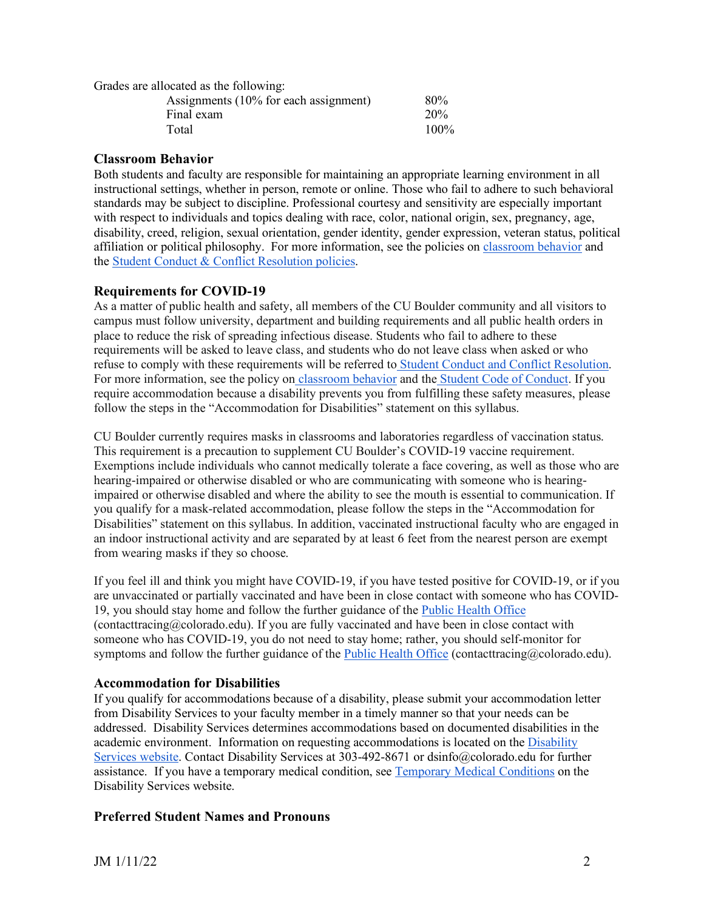|  |  | Grades are allocated as the following: |
|--|--|----------------------------------------|
|  |  |                                        |

| Assignments (10% for each assignment) | 80%  |
|---------------------------------------|------|
| Final exam                            | 20%  |
| Total                                 | 100% |

### **Classroom Behavior**

Both students and faculty are responsible for maintaining an appropriate learning environment in all instructional settings, whether in person, remote or online. Those who fail to adhere to such behavioral standards may be subject to discipline. Professional courtesy and sensitivity are especially important with respect to individuals and topics dealing with race, color, national origin, sex, pregnancy, age, disability, creed, religion, sexual orientation, gender identity, gender expression, veteran status, political affiliation or political philosophy. For more information, see the policies on classroom behavior and the Student Conduct & Conflict Resolution policies.

### **Requirements for COVID-19**

As a matter of public health and safety, all members of the CU Boulder community and all visitors to campus must follow university, department and building requirements and all public health orders in place to reduce the risk of spreading infectious disease. Students who fail to adhere to these requirements will be asked to leave class, and students who do not leave class when asked or who refuse to comply with these requirements will be referred to Student Conduct and Conflict Resolution. For more information, see the policy on classroom behavior and the Student Code of Conduct. If you require accommodation because a disability prevents you from fulfilling these safety measures, please follow the steps in the "Accommodation for Disabilities" statement on this syllabus.

CU Boulder currently requires masks in classrooms and laboratories regardless of vaccination status. This requirement is a precaution to supplement CU Boulder's COVID-19 vaccine requirement. Exemptions include individuals who cannot medically tolerate a face covering, as well as those who are hearing-impaired or otherwise disabled or who are communicating with someone who is hearingimpaired or otherwise disabled and where the ability to see the mouth is essential to communication. If you qualify for a mask-related accommodation, please follow the steps in the "Accommodation for Disabilities" statement on this syllabus. In addition, vaccinated instructional faculty who are engaged in an indoor instructional activity and are separated by at least 6 feet from the nearest person are exempt from wearing masks if they so choose.

If you feel ill and think you might have COVID-19, if you have tested positive for COVID-19, or if you are unvaccinated or partially vaccinated and have been in close contact with someone who has COVID-19, you should stay home and follow the further guidance of the Public Health Office (contacttracing@colorado.edu). If you are fully vaccinated and have been in close contact with someone who has COVID-19, you do not need to stay home; rather, you should self-monitor for symptoms and follow the further guidance of the Public Health Office (contacttracing@colorado.edu).

### **Accommodation for Disabilities**

If you qualify for accommodations because of a disability, please submit your accommodation letter from Disability Services to your faculty member in a timely manner so that your needs can be addressed. Disability Services determines accommodations based on documented disabilities in the academic environment. Information on requesting accommodations is located on the Disability Services website. Contact Disability Services at 303-492-8671 or dsinfo@colorado.edu for further assistance. If you have a temporary medical condition, see Temporary Medical Conditions on the Disability Services website.

## **Preferred Student Names and Pronouns**